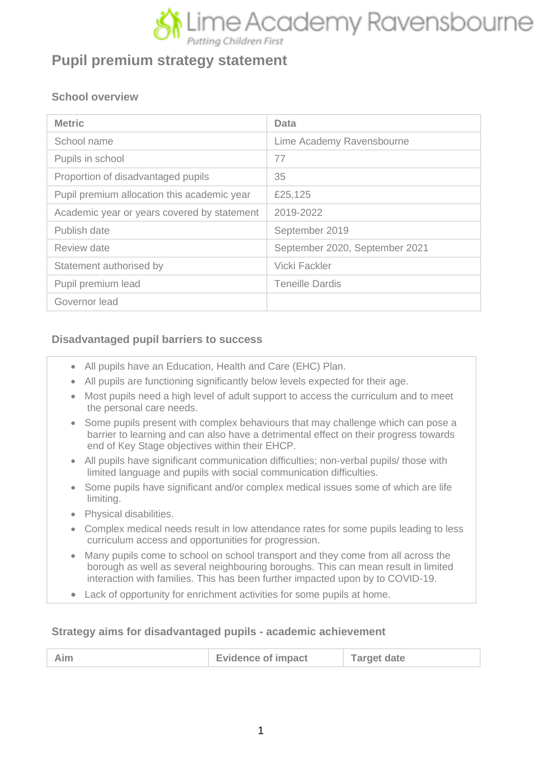

# **Pupil premium strategy statement**

#### **School overview**

| <b>Metric</b>                               | Data                           |
|---------------------------------------------|--------------------------------|
| School name                                 | Lime Academy Ravensbourne      |
| Pupils in school                            | 77                             |
| Proportion of disadvantaged pupils          | 35                             |
| Pupil premium allocation this academic year | £25,125                        |
| Academic year or years covered by statement | 2019-2022                      |
| Publish date                                | September 2019                 |
| Review date                                 | September 2020, September 2021 |
| Statement authorised by                     | Vicki Fackler                  |
| Pupil premium lead                          | <b>Teneille Dardis</b>         |
| Governor lead                               |                                |

#### **Disadvantaged pupil barriers to success**

- All pupils have an Education, Health and Care (EHC) Plan.
- All pupils are functioning significantly below levels expected for their age.
- Most pupils need a high level of adult support to access the curriculum and to meet the personal care needs.
- Some pupils present with complex behaviours that may challenge which can pose a barrier to learning and can also have a detrimental effect on their progress towards end of Key Stage objectives within their EHCP.
- All pupils have significant communication difficulties; non-verbal pupils/ those with limited language and pupils with social communication difficulties.
- Some pupils have significant and/or complex medical issues some of which are life limiting.
- Physical disabilities.
- Complex medical needs result in low attendance rates for some pupils leading to less curriculum access and opportunities for progression.
- Many pupils come to school on school transport and they come from all across the borough as well as several neighbouring boroughs. This can mean result in limited interaction with families. This has been further impacted upon by to COVID-19.
- Lack of opportunity for enrichment activities for some pupils at home.

#### **Strategy aims for disadvantaged pupils - academic achievement**

| <b>Evidence of impact</b> | <b>Target date</b> |
|---------------------------|--------------------|
|                           |                    |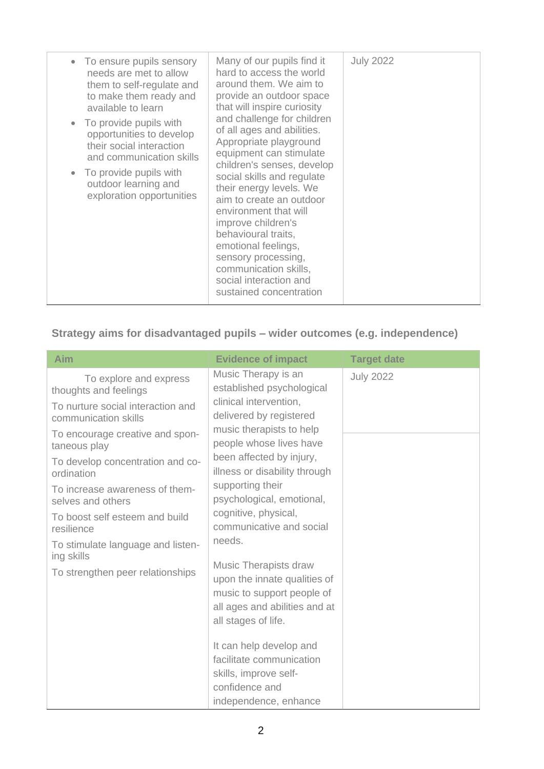| • To ensure pupils sensory<br>needs are met to allow<br>them to self-regulate and<br>to make them ready and<br>available to learn<br>• To provide pupils with<br>opportunities to develop<br>their social interaction<br>and communication skills<br>• To provide pupils with<br>outdoor learning and<br>exploration opportunities | Many of our pupils find it<br>hard to access the world<br>around them. We aim to<br>provide an outdoor space<br>that will inspire curiosity<br>and challenge for children<br>of all ages and abilities.<br>Appropriate playground<br>equipment can stimulate<br>children's senses, develop<br>social skills and regulate<br>their energy levels. We<br>aim to create an outdoor<br>environment that will<br>improve children's<br>behavioural traits,<br>emotional feelings,<br>sensory processing,<br>communication skills,<br>social interaction and | <b>July 2022</b> |
|------------------------------------------------------------------------------------------------------------------------------------------------------------------------------------------------------------------------------------------------------------------------------------------------------------------------------------|--------------------------------------------------------------------------------------------------------------------------------------------------------------------------------------------------------------------------------------------------------------------------------------------------------------------------------------------------------------------------------------------------------------------------------------------------------------------------------------------------------------------------------------------------------|------------------|
|------------------------------------------------------------------------------------------------------------------------------------------------------------------------------------------------------------------------------------------------------------------------------------------------------------------------------------|--------------------------------------------------------------------------------------------------------------------------------------------------------------------------------------------------------------------------------------------------------------------------------------------------------------------------------------------------------------------------------------------------------------------------------------------------------------------------------------------------------------------------------------------------------|------------------|

## **Strategy aims for disadvantaged pupils – wider outcomes (e.g. independence)**

| Aim                                                                                                                                                                                                                                                                                                                      | <b>Evidence of impact</b>                                                                                                                                                                                                                                                                                                                | <b>Target date</b> |
|--------------------------------------------------------------------------------------------------------------------------------------------------------------------------------------------------------------------------------------------------------------------------------------------------------------------------|------------------------------------------------------------------------------------------------------------------------------------------------------------------------------------------------------------------------------------------------------------------------------------------------------------------------------------------|--------------------|
| To explore and express<br>thoughts and feelings<br>To nurture social interaction and<br>communication skills<br>To encourage creative and spon-<br>taneous play<br>To develop concentration and co-<br>ordination<br>To increase awareness of them-<br>selves and others<br>To boost self esteem and build<br>resilience | Music Therapy is an<br>established psychological<br>clinical intervention,<br>delivered by registered<br>music therapists to help<br>people whose lives have<br>been affected by injury,<br>illness or disability through<br>supporting their<br>psychological, emotional,<br>cognitive, physical,<br>communicative and social<br>needs. | <b>July 2022</b>   |
| To stimulate language and listen-<br>ing skills<br>To strengthen peer relationships                                                                                                                                                                                                                                      | <b>Music Therapists draw</b><br>upon the innate qualities of<br>music to support people of<br>all ages and abilities and at<br>all stages of life.<br>It can help develop and<br>facilitate communication<br>skills, improve self-<br>confidence and<br>independence, enhance                                                            |                    |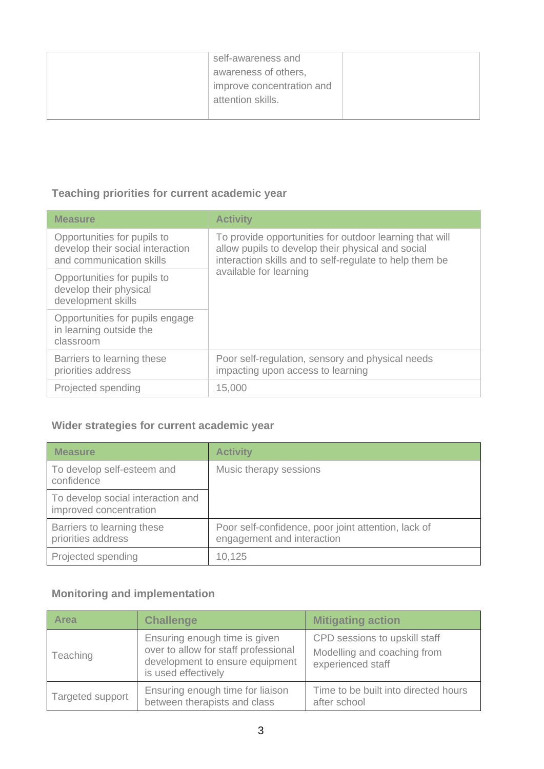| self-awareness and<br>awareness of others,<br>improve concentration and<br>attention skills. |  |
|----------------------------------------------------------------------------------------------|--|
|                                                                                              |  |

## **Teaching priorities for current academic year**

| <b>Measure</b>                                                                              | <b>Activity</b>                                                                                                                                                         |
|---------------------------------------------------------------------------------------------|-------------------------------------------------------------------------------------------------------------------------------------------------------------------------|
| Opportunities for pupils to<br>develop their social interaction<br>and communication skills | To provide opportunities for outdoor learning that will<br>allow pupils to develop their physical and social<br>interaction skills and to self-regulate to help them be |
| Opportunities for pupils to<br>develop their physical<br>development skills                 | available for learning                                                                                                                                                  |
| Opportunities for pupils engage<br>in learning outside the<br>classroom                     |                                                                                                                                                                         |
| Barriers to learning these<br>priorities address                                            | Poor self-regulation, sensory and physical needs<br>impacting upon access to learning                                                                                   |
| Projected spending                                                                          | 15,000                                                                                                                                                                  |

#### **Wider strategies for current academic year**

| <b>Measure</b>                                              | <b>Activity</b>                                                                   |
|-------------------------------------------------------------|-----------------------------------------------------------------------------------|
| To develop self-esteem and<br>confidence                    | Music therapy sessions                                                            |
| To develop social interaction and<br>improved concentration |                                                                                   |
| Barriers to learning these<br>priorities address            | Poor self-confidence, poor joint attention, lack of<br>engagement and interaction |
| Projected spending                                          | 10,125                                                                            |

## **Monitoring and implementation**

| <b>Area</b>      | <b>Challenge</b>                                                                                                                | <b>Mitigating action</b>                                                          |
|------------------|---------------------------------------------------------------------------------------------------------------------------------|-----------------------------------------------------------------------------------|
| Teaching         | Ensuring enough time is given<br>over to allow for staff professional<br>development to ensure equipment<br>is used effectively | CPD sessions to upskill staff<br>Modelling and coaching from<br>experienced staff |
| Targeted support | Ensuring enough time for liaison<br>between therapists and class                                                                | Time to be built into directed hours<br>after school                              |